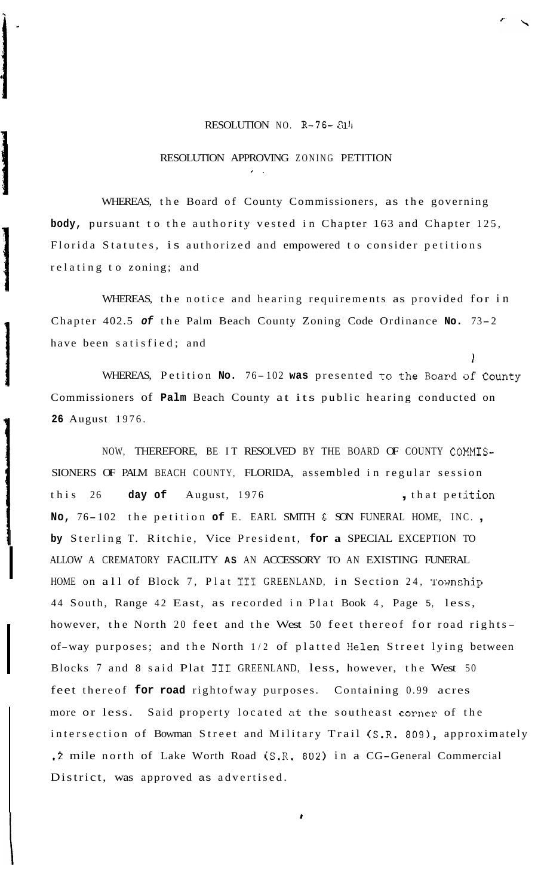## RESOLUTION NO.  $R-76-811$

 $\blacksquare$ 

## RESOLUTION APPROVING ZONING PETITION

\*.

WHEREAS, the Board of County Commissioners, as the governing **body,** pursuant to the authority vested in Chapter 163 and Chapter 125, Florida Statutes, is authorized and empowered to consider petitions relating to zoning; and

WHEREAS, the notice and hearing requirements as provided for in Chapter 402.5 *of* the Palm Beach County Zoning Code Ordinance **No.** 73-2 have been satisfied; and

WHEREAS, Petition **No.** 76- <sup>102</sup>**was** presented to the Board of County Commissioners of **Palm** Beach County at its public hearing conducted on **26** August 1976.

1

NOW, THEREFORE, BE IT RESOLVED BY THE BOARD OF COUNTY COMMIS-SIONERS OF PALM BEACH COUNTY, FLORIDA, assembled in regular session this 26 day of August, 1976 , that petition **No,** 76- 102 the petition **of** E. EARL SMITH & SON FUNERAL HOME, INC. , **by** Sterling T. Ritchie, Vice President, **for a** SPECIAL EXCEPTION TO ALLOW A CREMATORY FACILITY **AS** AN ACCESSORY TO AN EXISTING FUNERAL HOME on all of Block 7, Plat III GREENLAND, in Section 24, Township 44 South, Range 42 East, as recorded in Plat Book 4, Page 5, less, however, the North 20 feet and the West 50 feet thereof for road rightsof-way purposes; and the North 1/2 of platted Helen Street lying between Blocks 7 and 8 said Plat I11 GREENLAND, less, however, the West 50 feet thereof **for road** rightofway purposes. Containing 0.99 acres more or less. Said property located at the southeast corner of the intersection of Bowman Street and Military Trail (S.R. 809), approximately **.2** mile north of Lake Worth Road (S.R. 802) in a CG-General Commercial District, was approved as advertised.